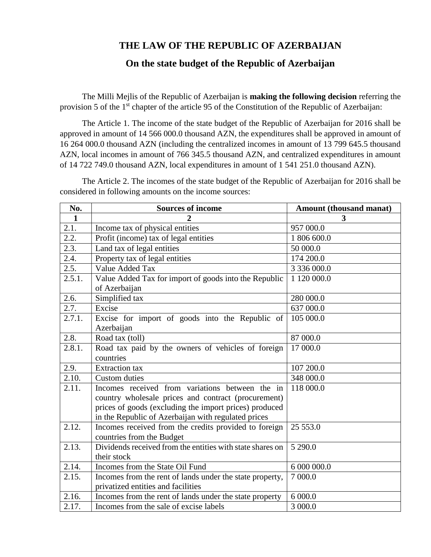## **THE LAW OF THE REPUBLIC OF AZERBAIJAN**

## **On the state budget of the Republic of Azerbaijan**

The Milli Mejlis of the Republic of Azerbaijan is **making the following decision** referring the provision 5 of the 1st chapter of the article 95 of the Constitution of the Republic of Azerbaijan:

The Article 1. The income of the state budget of the Republic of Azerbaijan for 2016 shall be approved in amount of 14 566 000.0 thousand AZN, the expenditures shall be approved in amount of 16 264 000.0 thousand AZN (including the centralized incomes in amount of 13 799 645.5 thousand AZN, local incomes in amount of 766 345.5 thousand AZN, and centralized expenditures in amount of 14 722 749.0 thousand AZN, local expenditures in amount of 1 541 251.0 thousand AZN).

The Article 2. The incomes of the state budget of the Republic of Azerbaijan for 2016 shall be considered in following amounts on the income sources:

| No.                  | <b>Sources of income</b>                                                                                                                                                                                                | Amount (thousand manat) |  |  |  |
|----------------------|-------------------------------------------------------------------------------------------------------------------------------------------------------------------------------------------------------------------------|-------------------------|--|--|--|
| $\mathbf{1}$         |                                                                                                                                                                                                                         | 3                       |  |  |  |
| 2.1.                 | Income tax of physical entities                                                                                                                                                                                         | 957 000.0               |  |  |  |
| 2.2.                 | Profit (income) tax of legal entities                                                                                                                                                                                   | 1 806 600.0             |  |  |  |
| 2.3.                 | Land tax of legal entities                                                                                                                                                                                              | 50 000.0                |  |  |  |
| 2.4.                 | Property tax of legal entities                                                                                                                                                                                          | 174 200.0               |  |  |  |
| $\overline{2.5}$ .   | Value Added Tax                                                                                                                                                                                                         | 3 336 000.0             |  |  |  |
| 2.5.1.               | Value Added Tax for import of goods into the Republic<br>of Azerbaijan                                                                                                                                                  | 1 120 000.0             |  |  |  |
| 2.6.                 | Simplified tax                                                                                                                                                                                                          | 280 000.0               |  |  |  |
| 2.7.                 | Excise                                                                                                                                                                                                                  | 637 000.0               |  |  |  |
| $\overline{2.7.1}$ . | Excise for import of goods into the Republic of<br>105 000.0<br>Azerbaijan                                                                                                                                              |                         |  |  |  |
| 2.8.                 | Road tax (toll)                                                                                                                                                                                                         | 87 000.0                |  |  |  |
| 2.8.1.               | Road tax paid by the owners of vehicles of foreign<br>17 000.0<br>countries                                                                                                                                             |                         |  |  |  |
| 2.9.                 | 107 200.0<br><b>Extraction</b> tax                                                                                                                                                                                      |                         |  |  |  |
| 2.10.                | <b>Custom</b> duties                                                                                                                                                                                                    | 348 000.0               |  |  |  |
| 2.11.                | Incomes received from variations between the in<br>country wholesale prices and contract (procurement)<br>prices of goods (excluding the import prices) produced<br>in the Republic of Azerbaijan with regulated prices | 118 000.0               |  |  |  |
| 2.12.                | Incomes received from the credits provided to foreign<br>countries from the Budget                                                                                                                                      | 25 553.0                |  |  |  |
| 2.13.                | Dividends received from the entities with state shares on<br>5 290.0<br>their stock                                                                                                                                     |                         |  |  |  |
| 2.14.                | Incomes from the State Oil Fund                                                                                                                                                                                         | 6 000 000.0             |  |  |  |
| 2.15.                | Incomes from the rent of lands under the state property,<br>privatized entities and facilities                                                                                                                          | 7 000.0                 |  |  |  |
| 2.16.                | Incomes from the rent of lands under the state property                                                                                                                                                                 | 6 000.0                 |  |  |  |
| 2.17.                | Incomes from the sale of excise labels                                                                                                                                                                                  | 3 000.0                 |  |  |  |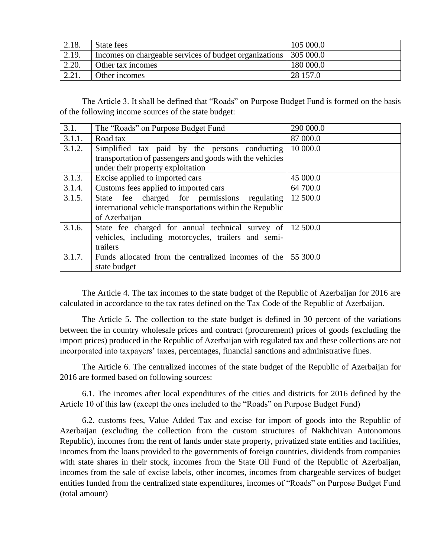| 2.18. | State fees                                             | 105 000.0 |
|-------|--------------------------------------------------------|-----------|
| 2.19. | Incomes on chargeable services of budget organizations | 305 000.0 |
| 2.20. | Other tax incomes                                      | 180 000.0 |
| 2.21. | Other incomes                                          | 28 157.0  |

The Article 3. It shall be defined that "Roads" on Purpose Budget Fund is formed on the basis of the following income sources of the state budget:

| 3.1.   | The "Roads" on Purpose Budget Fund                        | 290 000.0 |
|--------|-----------------------------------------------------------|-----------|
| 3.1.1. | Road tax                                                  | 87 000.0  |
| 3.1.2. | Simplified tax paid by the persons conducting             | 10 000.0  |
|        | transportation of passengers and goods with the vehicles  |           |
|        | under their property exploitation                         |           |
| 3.1.3. | Excise applied to imported cars                           | 45 000.0  |
| 3.1.4. | Customs fees applied to imported cars                     | 64 700.0  |
| 3.1.5. | State fee charged for permissions regulating              | 12 500.0  |
|        | international vehicle transportations within the Republic |           |
|        | of Azerbaijan                                             |           |
| 3.1.6. | State fee charged for annual technical survey of          | 12 500.0  |
|        | vehicles, including motorcycles, trailers and semi-       |           |
|        | trailers                                                  |           |
| 3.1.7. | Funds allocated from the centralized incomes of the       | 55 300.0  |
|        | state budget                                              |           |

The Article 4. The tax incomes to the state budget of the Republic of Azerbaijan for 2016 are calculated in accordance to the tax rates defined on the Tax Code of the Republic of Azerbaijan.

The Article 5. The collection to the state budget is defined in 30 percent of the variations between the in country wholesale prices and contract (procurement) prices of goods (excluding the import prices) produced in the Republic of Azerbaijan with regulated tax and these collections are not incorporated into taxpayers' taxes, percentages, financial sanctions and administrative fines.

The Article 6. The centralized incomes of the state budget of the Republic of Azerbaijan for 2016 are formed based on following sources:

6.1. The incomes after local expenditures of the cities and districts for 2016 defined by the Article 10 of this law (except the ones included to the "Roads" on Purpose Budget Fund)

6.2. customs fees, Value Added Tax and excise for import of goods into the Republic of Azerbaijan (excluding the collection from the custom structures of Nakhchivan Autonomous Republic), incomes from the rent of lands under state property, privatized state entities and facilities, incomes from the loans provided to the governments of foreign countries, dividends from companies with state shares in their stock, incomes from the State Oil Fund of the Republic of Azerbaijan, incomes from the sale of excise labels, other incomes, incomes from chargeable services of budget entities funded from the centralized state expenditures, incomes of "Roads" on Purpose Budget Fund (total amount)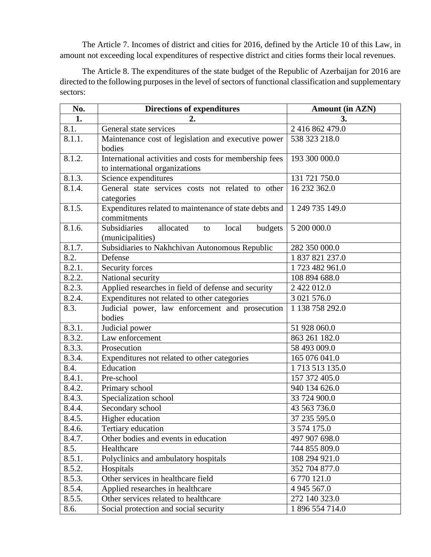The Article 7. Incomes of district and cities for 2016, defined by the Article 10 of this Law, in amount not exceeding local expenditures of respective district and cities forms their local revenues.

The Article 8. The expenditures of the state budget of the Republic of Azerbaijan for 2016 are directed to the following purposes in the level of sectors of functional classification and supplementary sectors:

| No.    | <b>Directions of expenditures</b>                                                        | <b>Amount (in AZN)</b> |
|--------|------------------------------------------------------------------------------------------|------------------------|
| 1.     | 2.                                                                                       | 3.                     |
| 8.1.   | General state services                                                                   | 2 416 862 479.0        |
| 8.1.1. | Maintenance cost of legislation and executive power<br>bodies                            | 538 323 218.0          |
| 8.1.2. | International activities and costs for membership fees<br>to international organizations | 193 300 000.0          |
| 8.1.3. | Science expenditures                                                                     | 131 721 750.0          |
| 8.1.4. | General state services costs not related to other<br>categories                          | 16 232 362.0           |
| 8.1.5. | Expenditures related to maintenance of state debts and<br>commitments                    | 1 249 735 149.0        |
| 8.1.6. | <b>Subsidiaries</b><br>allocated<br>budgets<br>local<br>to<br>(municipalities)           | 5 200 000.0            |
| 8.1.7. | Subsidiaries to Nakhchivan Autonomous Republic                                           | 282 350 000.0          |
| 8.2.   | Defense                                                                                  | 1 837 821 237.0        |
| 8.2.1. | Security forces                                                                          | 1723 482 961.0         |
| 8.2.2. | National security                                                                        | 108 894 688.0          |
| 8.2.3. | Applied researches in field of defense and security                                      | 2 422 012.0            |
| 8.2.4. | Expenditures not related to other categories                                             | 3 021 576.0            |
| 8.3.   | Judicial power, law enforcement and prosecution<br>bodies                                | 1 138 758 292.0        |
| 8.3.1. | Judicial power                                                                           | 51 928 060.0           |
| 8.3.2. | Law enforcement                                                                          | 863 261 182.0          |
| 8.3.3. | Prosecution                                                                              | 58 493 009.0           |
| 8.3.4. | Expenditures not related to other categories                                             | 165 076 041.0          |
| 8.4.   | Education                                                                                | 1713513135.0           |
| 8.4.1. | Pre-school                                                                               | 157 372 405.0          |
| 8.4.2. | Primary school                                                                           | 940 134 626.0          |
| 8.4.3. | Specialization school                                                                    | 33 724 900.0           |
| 8.4.4. | Secondary school                                                                         | 43 563 736.0           |
| 8.4.5. | Higher education                                                                         | 37 235 595.0           |
| 8.4.6. | Tertiary education                                                                       | 3 574 175.0            |
| 8.4.7. | Other bodies and events in education                                                     | 497 907 698.0          |
| 8.5.   | Healthcare                                                                               | 744 855 809.0          |
| 8.5.1. | Polyclinics and ambulatory hospitals                                                     | 108 294 921.0          |
| 8.5.2. | Hospitals                                                                                | 352 704 877.0          |
| 8.5.3. | Other services in healthcare field                                                       | 6 770 121.0            |
| 8.5.4. | Applied researches in healthcare                                                         | 4 945 567.0            |
| 8.5.5. | Other services related to healthcare                                                     | 272 140 323.0          |
| 8.6.   | Social protection and social security                                                    | 1 896 554 714.0        |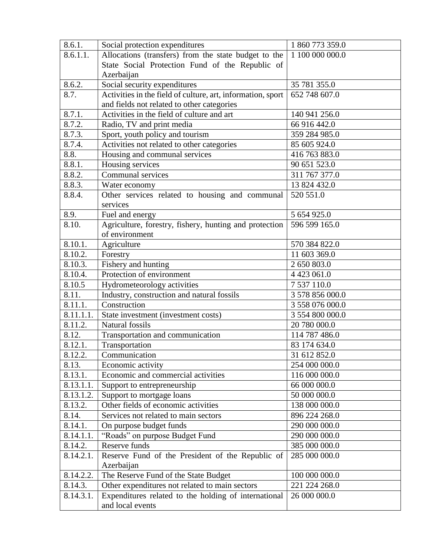| 8.6.1.                 | Social protection expenditures                              | 1 860 773 359.0  |  |  |
|------------------------|-------------------------------------------------------------|------------------|--|--|
| $\overline{8.6.1.1}$ . | Allocations (transfers) from the state budget to the        | 1 100 000 000.0  |  |  |
|                        | State Social Protection Fund of the Republic of             |                  |  |  |
|                        | Azerbaijan                                                  |                  |  |  |
| 8.6.2.                 | Social security expenditures                                | 35 781 355.0     |  |  |
| 8.7.                   | Activities in the field of culture, art, information, sport | 652 748 607.0    |  |  |
|                        | and fields not related to other categories                  |                  |  |  |
| 8.7.1.                 | Activities in the field of culture and art                  | 140 941 256.0    |  |  |
| 8.7.2.                 | Radio, TV and print media                                   | 66 916 442.0     |  |  |
| 8.7.3.                 | Sport, youth policy and tourism                             | 359 284 985.0    |  |  |
| 8.7.4.                 | Activities not related to other categories                  | 85 605 924.0     |  |  |
| 8.8.                   | Housing and communal services                               | 416 763 883.0    |  |  |
| 8.8.1.                 | Housing services                                            | 90 651 523.0     |  |  |
| 8.8.2.                 | Communal services                                           | 311 767 377.0    |  |  |
| 8.8.3.                 | Water economy                                               | 13 824 432.0     |  |  |
| 8.8.4.                 | Other services related to housing and communal              | 520 551.0        |  |  |
|                        | services                                                    |                  |  |  |
| 8.9.                   | Fuel and energy                                             | 5 654 925.0      |  |  |
| 8.10.                  | Agriculture, forestry, fishery, hunting and protection      | 596 599 165.0    |  |  |
|                        | of environment                                              |                  |  |  |
| 8.10.1.                | Agriculture                                                 | 570 384 822.0    |  |  |
| 8.10.2.                | Forestry                                                    | 11 603 369.0     |  |  |
| 8.10.3.                | Fishery and hunting                                         | 2 650 803.0      |  |  |
| 8.10.4.                | Protection of environment                                   | 4 4 2 3 0 6 1 .0 |  |  |
| 8.10.5                 | Hydrometeorology activities                                 | 7 537 110.0      |  |  |
| 8.11.                  | Industry, construction and natural fossils                  | 3 578 856 000.0  |  |  |
| 8.11.1.                | Construction                                                | 3 558 076 000.0  |  |  |
| 8.11.1.1.              | State investment (investment costs)                         | 3 554 800 000.0  |  |  |
| 8.11.2.                | Natural fossils                                             | 20 780 000.0     |  |  |
| 8.12.                  | Transportation and communication                            | 114 787 486.0    |  |  |
| 8.12.1.                | Transportation                                              | 83 174 634.0     |  |  |
| 8.12.2.                | Communication                                               | 31 612 852.0     |  |  |
| 8.13.                  | Economic activity                                           | 254 000 000.0    |  |  |
| 8.13.1.                | Economic and commercial activities                          | 116 000 000.0    |  |  |
| 8.13.1.1.              | Support to entrepreneurship                                 | 66 000 000.0     |  |  |
| 8.13.1.2.              | Support to mortgage loans                                   | 50 000 000.0     |  |  |
| 8.13.2.                | Other fields of economic activities                         | 138 000 000.0    |  |  |
| 8.14.                  | Services not related to main sectors                        | 896 224 268.0    |  |  |
| 8.14.1.                | On purpose budget funds                                     | 290 000 000.0    |  |  |
| 8.14.1.1.              | "Roads" on purpose Budget Fund                              | 290 000 000.0    |  |  |
| 8.14.2.                | Reserve funds                                               | 385 000 000.0    |  |  |
| 8.14.2.1.              | Reserve Fund of the President of the Republic of            | 285 000 000.0    |  |  |
|                        | Azerbaijan                                                  |                  |  |  |
| 8.14.2.2.              | The Reserve Fund of the State Budget                        | 100 000 000.0    |  |  |
| 8.14.3.                | Other expenditures not related to main sectors              | 221 224 268.0    |  |  |
| 8.14.3.1.              | Expenditures related to the holding of international        | 26 000 000.0     |  |  |
|                        | and local events                                            |                  |  |  |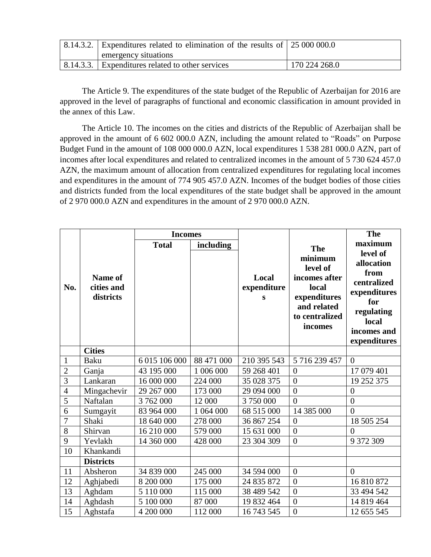| $\vert$ 8.14.3.2. Expenditures related to elimination of the results of $\vert$ 25 000 000.0<br>emergency situations |               |
|----------------------------------------------------------------------------------------------------------------------|---------------|
| 8.14.3.3. Expenditures related to other services                                                                     | 170 224 268.0 |

The Article 9. The expenditures of the state budget of the Republic of Azerbaijan for 2016 are approved in the level of paragraphs of functional and economic classification in amount provided in the annex of this Law.

The Article 10. The incomes on the cities and districts of the Republic of Azerbaijan shall be approved in the amount of 6 602 000.0 AZN, including the amount related to "Roads" on Purpose Budget Fund in the amount of 108 000 000.0 AZN, local expenditures 1 538 281 000.0 AZN, part of incomes after local expenditures and related to centralized incomes in the amount of 5 730 624 457.0 AZN, the maximum amount of allocation from centralized expenditures for regulating local incomes and expenditures in the amount of 774 905 457.0 AZN. Incomes of the budget bodies of those cities and districts funded from the local expenditures of the state budget shall be approved in the amount of 2 970 000.0 AZN and expenditures in the amount of 2 970 000.0 AZN.

|                |                                           | <b>Incomes</b> |            |                           |                                                                                                                         | <b>The</b>                                                                                                                            |
|----------------|-------------------------------------------|----------------|------------|---------------------------|-------------------------------------------------------------------------------------------------------------------------|---------------------------------------------------------------------------------------------------------------------------------------|
| No.            | <b>Name of</b><br>cities and<br>districts | <b>Total</b>   | including  | Local<br>expenditure<br>S | <b>The</b><br>minimum<br>level of<br>incomes after<br>local<br>expenditures<br>and related<br>to centralized<br>incomes | maximum<br>level of<br>allocation<br>from<br>centralized<br>expenditures<br>for<br>regulating<br>local<br>incomes and<br>expenditures |
|                | <b>Cities</b>                             |                |            |                           |                                                                                                                         |                                                                                                                                       |
| 1              | Baku                                      | 6 015 106 000  | 88 471 000 | 210 395 543               | 5 716 239 457                                                                                                           | $\overline{0}$                                                                                                                        |
| $\overline{c}$ | Ganja                                     | 43 195 000     | 1 006 000  | 59 268 401                | $\overline{0}$                                                                                                          | 17 079 401                                                                                                                            |
| $\overline{3}$ | Lankaran                                  | 16 000 000     | 224 000    | 35 028 375                | $\overline{0}$                                                                                                          | 19 252 375                                                                                                                            |
| $\overline{4}$ | Mingachevir                               | 29 267 000     | 173 000    | 29 094 000                | $\overline{0}$                                                                                                          | $\boldsymbol{0}$                                                                                                                      |
| $\overline{5}$ | Naftalan                                  | 3762000        | 12 000     | 3 750 000                 | $\theta$                                                                                                                | $\overline{0}$                                                                                                                        |
| 6              | Sumgayit                                  | 83 964 000     | 1 064 000  | 68 515 000                | 14 385 000                                                                                                              | $\overline{0}$                                                                                                                        |
| $\overline{7}$ | Shaki                                     | 18 640 000     | 278 000    | 36 867 254                | $\overline{0}$                                                                                                          | 18 505 254                                                                                                                            |
| 8              | Shirvan                                   | 16 210 000     | 579 000    | 15 631 000                | $\overline{0}$                                                                                                          | $\overline{0}$                                                                                                                        |
| 9              | Yevlakh                                   | 14 360 000     | 428 000    | 23 304 309                | $\overline{0}$                                                                                                          | 9 372 309                                                                                                                             |
| 10             | Khankandi                                 |                |            |                           |                                                                                                                         |                                                                                                                                       |
|                | <b>Districts</b>                          |                |            |                           |                                                                                                                         |                                                                                                                                       |
| 11             | Absheron                                  | 34 839 000     | 245 000    | 34 594 000                | $\overline{0}$                                                                                                          | $\overline{0}$                                                                                                                        |
| 12             | Aghjabedi                                 | 8 200 000      | 175 000    | 24 835 872                | $\overline{0}$                                                                                                          | 16 810 872                                                                                                                            |
| 13             | Aghdam                                    | 5 110 000      | 115 000    | 38 489 542                | $\overline{0}$                                                                                                          | 33 494 542                                                                                                                            |
| 14             | Aghdash                                   | 5 100 000      | 87 000     | 19 832 464                | $\overline{0}$                                                                                                          | 14 819 464                                                                                                                            |
| 15             | Aghstafa                                  | 4 200 000      | 112 000    | 16 743 545                | $\overline{0}$                                                                                                          | 12 655 545                                                                                                                            |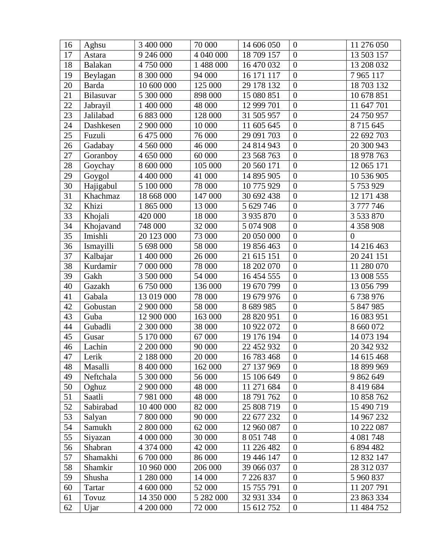| 16 | Aghsu          | 3 400 000  | 70 000    | 14 606 050    | $\overline{0}$             | 11 276 050   |
|----|----------------|------------|-----------|---------------|----------------------------|--------------|
| 17 | Astara         | 9 246 000  | 4 040 000 | 18 709 157    | $\overline{0}$             | 13 503 157   |
| 18 | <b>Balakan</b> | 4 750 000  | 1 488 000 | 16 470 032    | $\overline{0}$             | 13 208 032   |
| 19 | Beylagan       | 8 300 000  | 94 000    | 16 171 117    | $\overline{0}$             | 7965117      |
| 20 | Barda          | 10 600 000 | 125 000   | 29 178 132    | $\overline{0}$             | 18 703 132   |
| 21 | Bilasuvar      | 5 300 000  | 898 000   | 15 080 851    | $\overline{0}$             | 10 678 851   |
| 22 | Jabrayil       | 1 400 000  | 48 000    | 12 999 701    | $\overline{0}$             | 11 647 701   |
| 23 | Jalilabad      | 6 883 000  | 128 000   | 31 505 957    | $\overline{0}$             | 24 750 957   |
| 24 | Dashkesen      | 2 900 000  | 10 000    | 11 605 645    | $\overline{0}$             | 8715645      |
| 25 | Fuzuli         | 6 475 000  | 76 000    | 29 091 703    | $\overline{0}$             | 22 692 703   |
| 26 | Gadabay        | 4 560 000  | 46 000    | 24 814 943    | $\overline{0}$             | 20 300 943   |
| 27 | Goranboy       | 4 650 000  | 60 000    | 23 568 763    | $\overline{0}$             | 18 978 763   |
| 28 | Goychay        | 8 600 000  | 105 000   | 20 560 171    | $\overline{0}$             | 12 065 171   |
| 29 | Goygol         | 4 400 000  | 41 000    | 14 895 905    | $\overline{0}$             | 10 536 905   |
| 30 | Hajigabul      | 5 100 000  | 78 000    | 10 775 929    | $\overline{0}$             | 5 753 929    |
| 31 | Khachmaz       | 18 668 000 | 147 000   | 30 692 438    | $\overline{0}$             | 12 171 438   |
| 32 | Khizi          | 1 865 000  | 13 000    | 5 629 746     | $\overline{0}$             | 3 777 746    |
| 33 | Khojali        | 420 000    | 18 000    | 3 9 3 5 8 7 0 | $\overline{0}$             | 3 533 870    |
| 34 | Khojavand      | 748 000    | 32 000    | 5 0 74 9 08   | $\overline{0}$             | 4 358 908    |
| 35 | Imishli        | 20 123 000 | 73 000    | 20 050 000    | $\overline{0}$             | $\mathbf{0}$ |
| 36 | Ismayilli      | 5 698 000  | 58 000    | 19 856 463    | $\overline{0}$             | 14 216 463   |
| 37 | Kalbajar       | 1 400 000  | 26 000    | 21 615 151    | $\overline{0}$             | 20 241 151   |
| 38 | Kurdamir       | 7 000 000  | 78 000    | 18 202 070    | $\overline{0}$             | 11 280 070   |
| 39 | Gakh           | 3 500 000  | 54 000    | 16 454 555    | $\overline{0}$             | 13 008 555   |
| 40 | Gazakh         | 6750000    | 136 000   | 19 670 799    | $\overline{0}$             | 13 056 799   |
| 41 | Gabala         | 13 019 000 | 78 000    | 19 679 976    | $\overline{0}$             | 6738976      |
| 42 | Gobustan       | 2 900 000  | 58 000    | 8 689 985     | $\overline{0}$             | 5 847 985    |
| 43 | Guba           | 12 900 000 | 163 000   | 28 820 951    | $\overline{0}$             | 16 083 951   |
| 44 | Gubadli        | 2 300 000  | 38 000    | 10 922 072    | $\boldsymbol{0}$           | 8 660 072    |
| 45 | Gusar          | 5 170 000  | 67 000    | 19 176 194    | $\overline{0}$             | 14 073 194   |
| 46 | Lachin         | 2 200 000  | 90 000    | 22 452 932    | $\boldsymbol{0}$           | 20 342 932   |
| 47 | Lerik          | 2 188 000  | 20 000    | 16 783 468    | $\theta$                   | 14 615 468   |
| 48 | Masalli        | 8 400 000  | 162 000   | 27 137 969    | $\overline{0}$             | 18 899 969   |
| 49 | Neftchala      | 5 300 000  | 56 000    | 15 106 649    | $\overline{0}$             | 9 862 649    |
| 50 | Oghuz          | 2 900 000  | 48 000    | 11 271 684    | $\overline{0}$             | 8 4 19 6 8 4 |
| 51 | Saatli         | 7981000    | 48 000    | 18 791 762    | $\boldsymbol{0}$           | 10 858 762   |
| 52 | Sabirabad      | 10 400 000 | 82 000    | 25 808 719    | $\theta$                   | 15 490 719   |
| 53 | Salyan         | 7 800 000  | 90 000    | 22 677 232    | $\overline{0}$             | 14 967 232   |
| 54 | Samukh         | 2 800 000  | 62 000    | 12 960 087    | $\mathbf{0}$               | 10 222 087   |
| 55 | Siyazan        | 4 000 000  | 30 000    | 8 0 51 748    | $\mathbf{0}$               | 4 081 748    |
| 56 | Shabran        | 4 374 000  | 42 000    | 11 226 482    | $\overline{0}$             | 6 894 482    |
| 57 | Shamakhi       | 6 700 000  | 86 000    | 19 446 147    | $\theta$<br>$\overline{0}$ | 12 832 147   |
| 58 | Shamkir        | 10 960 000 | 206 000   | 39 066 037    |                            | 28 312 037   |
| 59 | Shusha         | 1 280 000  | 14 000    | 7 226 837     | $\mathbf{0}$               | 5 960 837    |
| 60 | Tartar         | 4 600 000  | 52 000    | 15 755 791    | $\theta$                   | 11 207 791   |
| 61 | Tovuz          | 14 350 000 | 5 282 000 | 32 931 334    | $\boldsymbol{0}$           | 23 863 334   |
| 62 | Ujar           | 4 200 000  | 72 000    | 15 612 752    | $\overline{0}$             | 11 484 752   |